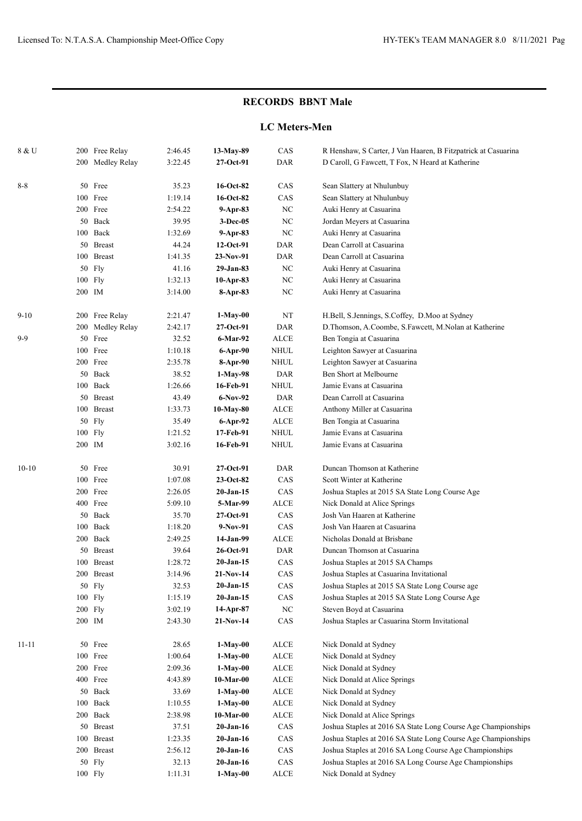### **LC Meters-Men**

| 8 & U     |         | 200 Free Relay   | 2:46.45 | 13-May-89    | CAS                          | R Henshaw, S Carter, J Van Haaren, B Fitzpatrick at Casuarina |
|-----------|---------|------------------|---------|--------------|------------------------------|---------------------------------------------------------------|
|           |         | 200 Medley Relay | 3:22.45 | 27-Oct-91    | DAR                          | D Caroll, G Fawcett, T Fox, N Heard at Katherine              |
| $8 - 8$   |         | 50 Free          | 35.23   | 16-Oct-82    | CAS                          | Sean Slattery at Nhulunbuy                                    |
|           |         | 100 Free         | 1:19.14 | 16-Oct-82    | CAS                          | Sean Slattery at Nhulunbuy                                    |
|           |         | 200 Free         | 2:54.22 | 9-Apr-83     | $_{\mathrm{NC}}$             | Auki Henry at Casuarina                                       |
|           | 50      | Back             | 39.95   | $3-Dec-05$   | NC                           | Jordan Meyers at Casuarina                                    |
|           |         | 100 Back         | 1:32.69 | 9-Apr-83     | NC                           | Auki Henry at Casuarina                                       |
|           | 50      | <b>Breast</b>    | 44.24   | 12-Oct-91    | DAR                          | Dean Carroll at Casuarina                                     |
|           |         | 100 Breast       | 1:41.35 | 23-Nov-91    | DAR                          | Dean Carroll at Casuarina                                     |
|           | 50      | Fly              | 41.16   | 29-Jan-83    | $_{\mathrm{NC}}$             | Auki Henry at Casuarina                                       |
|           | 100     | Fly              | 1:32.13 | 10-Apr-83    | $_{\mathrm{NC}}$             | Auki Henry at Casuarina                                       |
|           | 200 IM  |                  | 3:14.00 | 8-Apr-83     | $_{\mathrm{NC}}$             | Auki Henry at Casuarina                                       |
| $9 - 10$  |         | 200 Free Relay   | 2:21.47 | 1-May-00     | $_{\rm NT}$                  | H.Bell, S.Jennings, S.Coffey, D.Moo at Sydney                 |
|           |         | 200 Medley Relay | 2:42.17 | $27-Oct-91$  | DAR                          | D.Thomson, A.Coombe, S.Fawcett, M.Nolan at Katherine          |
| $9-9$     | 50      | Free             | 32.52   | 6-Mar-92     | <b>ALCE</b>                  | Ben Tongia at Casuarina                                       |
|           | 100     | Free             | 1:10.18 | 6-Apr-90     | NHUL                         | Leighton Sawyer at Casuarina                                  |
|           |         | 200 Free         | 2:35.78 | 8-Apr-90     | NHUL                         | Leighton Sawyer at Casuarina                                  |
|           | 50      | Back             | 38.52   | 1-May-98     | DAR                          | Ben Short at Melbourne                                        |
|           |         | 100 Back         | 1:26.66 | 16-Feb-91    | NHUL                         | Jamie Evans at Casuarina                                      |
|           |         | 50 Breast        | 43.49   | 6-Nov-92     | DAR                          | Dean Carroll at Casuarina                                     |
|           |         | 100 Breast       | 1:33.73 | 10-May-80    | ALCE                         | Anthony Miller at Casuarina                                   |
|           | 50      | Fly              | 35.49   | 6-Apr-92     | ALCE                         | Ben Tongia at Casuarina                                       |
|           | 100     | Fly              | 1:21.52 | 17-Feb-91    | <b>NHUL</b>                  | Jamie Evans at Casuarina                                      |
|           | 200 IM  |                  | 3:02.16 | 16-Feb-91    | NHUL                         | Jamie Evans at Casuarina                                      |
| $10-10$   |         | 50 Free          | 30.91   | $27-Oct-91$  | DAR                          | Duncan Thomson at Katherine                                   |
|           |         | 100 Free         | 1:07.08 | $23-Oct-82$  | CAS                          | Scott Winter at Katherine                                     |
|           |         | 200 Free         | 2:26.05 | $20$ -Jan-15 | CAS                          | Joshua Staples at 2015 SA State Long Course Age               |
|           |         | 400 Free         | 5:09.10 | 5-Mar-99     | <b>ALCE</b>                  | Nick Donald at Alice Springs                                  |
|           | 50      | Back             | 35.70   | $27-Oct-91$  | CAS                          | Josh Van Haaren at Katherine                                  |
|           | 100     | Back             | 1:18.20 | 9-Nov-91     | CAS                          | Josh Van Haaren at Casuarina                                  |
|           | 200     | Back             | 2:49.25 | 14-Jan-99    | ALCE                         | Nicholas Donald at Brisbane                                   |
|           |         | 50 Breast        | 39.64   | 26-Oct-91    | DAR                          | Duncan Thomson at Casuarina                                   |
|           |         | 100 Breast       | 1:28.72 | $20-Jan-15$  | CAS                          | Joshua Staples at 2015 SA Champs                              |
|           |         | 200 Breast       | 3:14.96 | 21-Nov-14    | CAS                          | Joshua Staples at Casuarina Invitational                      |
|           |         | 50 Fly           | 32.53   | $20-Jan-15$  | CAS                          | Joshua Staples at 2015 SA State Long Course age               |
|           |         | 100 Fly          | 1:15.19 | 20-Jan-15    | CAS                          | Joshua Staples at 2015 SA State Long Course Age               |
|           | 200 Fly |                  | 3:02.19 | $14-Apr-87$  | $_{\mathrm{NC}}$             | Steven Boyd at Casuarina                                      |
|           | 200 IM  |                  | 2:43.30 | $21-Nov-14$  | CAS                          | Joshua Staples ar Casuarina Storm Invitational                |
| $11 - 11$ |         | 50 Free          | 28.65   | $1-May-00$   | ALCE                         | Nick Donald at Sydney                                         |
|           |         | 100 Free         | 1:00.64 | $1-May-00$   | $\ensuremath{\mathsf{ALCE}}$ | Nick Donald at Sydney                                         |
|           |         | 200 Free         | 2:09.36 | $1-May-00$   | $\operatorname{ALCE}$        | Nick Donald at Sydney                                         |
|           |         | 400 Free         | 4:43.89 | $10-Mar-00$  | $\operatorname{ALCE}$        | Nick Donald at Alice Springs                                  |
|           |         | 50 Back          | 33.69   | $1-May-00$   | $\operatorname{ALCE}$        | Nick Donald at Sydney                                         |
|           |         | 100 Back         | 1:10.55 | $1-May-00$   | $\operatorname{ALCE}$        | Nick Donald at Sydney                                         |
|           |         | 200 Back         | 2:38.98 | $10-Mar-00$  | $\operatorname{ALCE}$        | Nick Donald at Alice Springs                                  |
|           |         | 50 Breast        | 37.51   | $20-Jan-16$  | CAS                          | Joshua Staples at 2016 SA State Long Course Age Championships |
|           |         | 100 Breast       | 1:23.35 | $20-Jan-16$  | CAS                          | Joshua Staples at 2016 SA State Long Course Age Championships |
|           |         | 200 Breast       | 2:56.12 | $20-Jan-16$  | CAS                          | Joshua Staples at 2016 SA Long Course Age Championships       |
|           |         | 50 Fly           | 32.13   | $20-Jan-16$  | CAS                          | Joshua Staples at 2016 SA Long Course Age Championships       |
|           |         | 100 Fly          | 1:11.31 | 1-May-00     | $\ensuremath{\mathsf{ALCE}}$ | Nick Donald at Sydney                                         |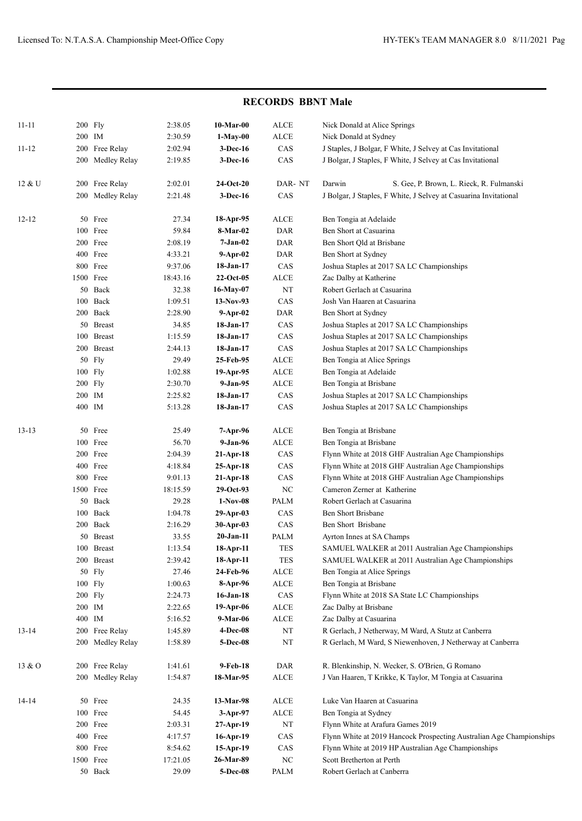| <b>RECORDS BBNT Male</b> |           |                     |                    |                            |             |                                                                      |
|--------------------------|-----------|---------------------|--------------------|----------------------------|-------------|----------------------------------------------------------------------|
| $11 - 11$                | 200 Fly   |                     | 2:38.05            | 10-Mar-00                  | ALCE        | Nick Donald at Alice Springs                                         |
|                          | 200 IM    |                     | 2:30.59            | 1-May-00                   | <b>ALCE</b> | Nick Donald at Sydney                                                |
| $11 - 12$                |           | 200 Free Relay      | 2:02.94            | 3-Dec-16                   | CAS         | J Staples, J Bolgar, F White, J Selvey at Cas Invitational           |
|                          |           | 200 Medley Relay    | 2:19.85            | 3-Dec-16                   | CAS         | J Bolgar, J Staples, F White, J Selvey at Cas Invitational           |
| 12 & U                   |           | 200 Free Relay      | 2:02.01            | $24-Oct-20$                | DAR-NT      | Darwin<br>S. Gee, P. Brown, L. Rieck, R. Fulmanski                   |
|                          |           | 200 Medley Relay    | 2:21.48            | 3-Dec-16                   | CAS         | J Bolgar, J Staples, F White, J Selvey at Casuarina Invitational     |
| $12 - 12$                |           | 50 Free             | 27.34              | $18-Apr-95$                | ALCE        | Ben Tongia at Adelaide                                               |
|                          |           | 100 Free            | 59.84              | 8-Mar-02                   | <b>DAR</b>  | Ben Short at Casuarina                                               |
|                          |           | 200 Free            | 2:08.19            | 7-Jan-02                   | DAR         | Ben Short Qld at Brisbane                                            |
|                          |           | 400 Free            | 4:33.21            | $9-Apr-02$                 | DAR         | Ben Short at Sydney                                                  |
|                          |           | 800 Free            | 9:37.06            | $18-Jan-17$                | CAS         | Joshua Staples at 2017 SA LC Championships                           |
|                          | 1500 Free |                     | 18:43.16           | $22-Oct-05$                | ALCE        | Zac Dalby at Katherine                                               |
|                          |           | 50 Back             | 32.38              | 16-May-07                  | NT          | Robert Gerlach at Casuarina                                          |
|                          |           | 100 Back            | 1:09.51            | $13-Nov-93$                | CAS         | Josh Van Haaren at Casuarina                                         |
|                          |           | 200 Back            | 2:28.90            | $9-Apr-02$                 | DAR         | Ben Short at Sydney                                                  |
|                          |           | 50 Breast           | 34.85              | $18-Jan-17$                | CAS         | Joshua Staples at 2017 SA LC Championships                           |
|                          | 100       | <b>Breast</b>       | 1:15.59            | $18-Jan-17$                | CAS         | Joshua Staples at 2017 SA LC Championships                           |
|                          |           | 200 Breast          | 2:44.13            | $18-Jan-17$                | CAS         | Joshua Staples at 2017 SA LC Championships                           |
|                          |           | 50 Fly              | 29.49              | 25-Feb-95                  | ALCE        | Ben Tongia at Alice Springs                                          |
|                          | $100$ Fly |                     | 1:02.88            | 19-Apr-95                  | ALCE        | Ben Tongia at Adelaide                                               |
|                          | $200$ Fly |                     | 2:30.70            | 9-Jan-95                   | ALCE        | Ben Tongia at Brisbane                                               |
|                          | 200 IM    |                     | 2:25.82            | $18-Jan-17$                | CAS         | Joshua Staples at 2017 SA LC Championships                           |
|                          | 400 IM    |                     | 5:13.28            | 18-Jan-17                  | CAS         | Joshua Staples at 2017 SA LC Championships                           |
| $13 - 13$                |           | 50 Free             | 25.49              | 7-Apr-96                   | ALCE        | Ben Tongia at Brisbane                                               |
|                          |           | 100 Free            | 56.70              | 9-Jan-96                   | ALCE        | Ben Tongia at Brisbane                                               |
|                          |           | 200 Free            | 2:04.39            | $21-Apr-18$                | CAS         | Flynn White at 2018 GHF Australian Age Championships                 |
|                          |           | 400 Free            | 4:18.84            | $25-Apr-18$                | CAS         | Flynn White at 2018 GHF Australian Age Championships                 |
|                          |           | 800 Free            | 9:01.13            | $21-Apr-18$                | CAS         | Flynn White at 2018 GHF Australian Age Championships                 |
|                          | 1500 Free |                     | 18:15.59           | $29-Oct-93$                | NC          | Cameron Zerner at Katherine                                          |
|                          |           | 50 Back<br>100 Back | 29.28              | $1-Nov-08$                 | PALM        | Robert Gerlach at Casuarina<br><b>Ben Short Brisbane</b>             |
|                          |           | 200 Back            | 1:04.78<br>2:16.29 | $29$ -Apr-03               | CAS<br>CAS  | Ben Short Brisbane                                                   |
|                          |           | 50 Breast           | 33.55              | 30-Apr-03<br>$20 - Jan-11$ | PALM        | Ayrton Innes at SA Champs                                            |
|                          |           | 100 Breast          | 1:13.54            | 18-Apr-11                  | TES         | SAMUEL WALKER at 2011 Australian Age Championships                   |
|                          |           | 200 Breast          | 2:39.42            | 18-Apr-11                  | TES         | SAMUEL WALKER at 2011 Australian Age Championships                   |
|                          |           | 50 Fly              | 27.46              | 24-Feb-96                  | <b>ALCE</b> | Ben Tongia at Alice Springs                                          |
|                          | $100$ Fly |                     | 1:00.63            | 8-Apr-96                   | <b>ALCE</b> | Ben Tongia at Brisbane                                               |
|                          | 200 Fly   |                     | 2:24.73            | $16$ -Jan-18               | CAS         | Flynn White at 2018 SA State LC Championships                        |
|                          | 200 IM    |                     | 2:22.65            | $19-Apr-06$                | ALCE        | Zac Dalby at Brisbane                                                |
|                          | 400 IM    |                     | 5:16.52            | 9-Mar-06                   | <b>ALCE</b> | Zac Dalby at Casuarina                                               |
| $13 - 14$                |           | 200 Free Relay      | 1:45.89            | 4-Dec-08                   | NT          | R Gerlach, J Netherway, M Ward, A Stutz at Canberra                  |
|                          |           | 200 Medley Relay    | 1:58.89            | 5-Dec-08                   | NT          | R Gerlach, M Ward, S Niewenhoven, J Netherway at Canberra            |
| 13 & 0                   |           | 200 Free Relay      | 1:41.61            | 9-Feb-18                   | DAR         | R. Blenkinship, N. Wecker, S. O'Brien, G Romano                      |
|                          |           | 200 Medley Relay    | 1:54.87            | 18-Mar-95                  | ALCE        | J Van Haaren, T Krikke, K Taylor, M Tongia at Casuarina              |
| 14-14                    |           | 50 Free             | 24.35              | 13-Mar-98                  | <b>ALCE</b> | Luke Van Haaren at Casuarina                                         |
|                          |           | 100 Free            | 54.45              | $3-Apr-97$                 | <b>ALCE</b> | Ben Tongia at Sydney                                                 |
|                          |           | 200 Free            | 2:03.31            | $27-Apr-19$                | NT          | Flynn White at Arafura Games 2019                                    |
|                          |           | 400 Free            | 4:17.57            | $16-Apr-19$                | CAS         | Flynn White at 2019 Hancock Prospecting Australian Age Championships |
|                          |           | 800 Free            | 8:54.62            | 15-Apr-19                  | CAS         | Flynn White at 2019 HP Australian Age Championships                  |
|                          | 1500 Free |                     | 17:21.05           | 26-Mar-89                  | NC          | Scott Bretherton at Perth                                            |
|                          |           | 50 Back             | 29.09              | 5-Dec-08                   | PALM        | Robert Gerlach at Canberra                                           |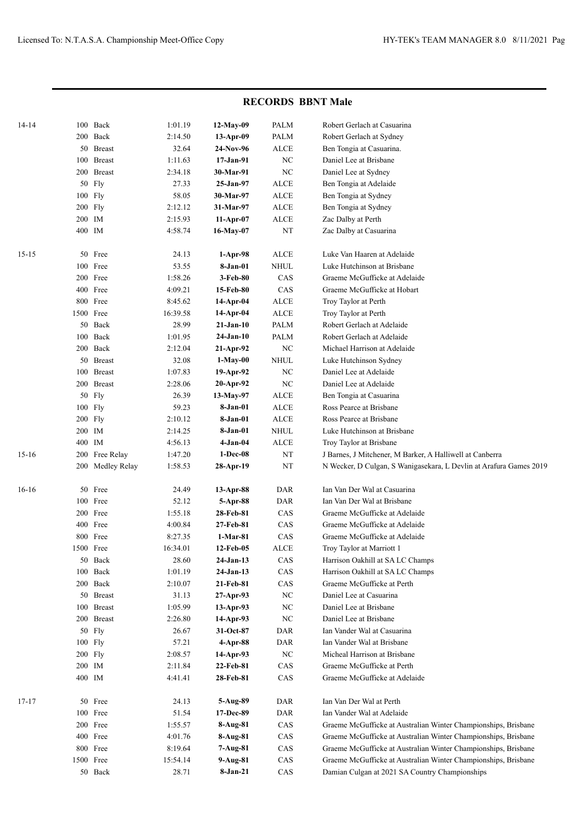|           |      |               |          |              | $\sim$      |                                                                    |
|-----------|------|---------------|----------|--------------|-------------|--------------------------------------------------------------------|
| $14 - 14$ |      | 100 Back      | 1:01.19  | $12-May-09$  | PALM        | Robert Gerlach at Casuarina                                        |
|           | 200  | Back          | 2:14.50  | 13-Apr-09    | PALM        | Robert Gerlach at Sydney                                           |
|           |      | 50 Breast     | 32.64    | 24-Nov-96    | <b>ALCE</b> | Ben Tongia at Casuarina.                                           |
|           | 100  | <b>Breast</b> | 1:11.63  | $17-Jan-91$  | NC          | Daniel Lee at Brisbane                                             |
|           | 200  | <b>Breast</b> | 2:34.18  | 30-Mar-91    | NC          | Daniel Lee at Sydney                                               |
|           | 50   | Fly           | 27.33    | 25-Jan-97    | ALCE        | Ben Tongia at Adelaide                                             |
|           | 100  | Fly           | 58.05    | 30-Mar-97    | <b>ALCE</b> | Ben Tongia at Sydney                                               |
|           | 200  | Fly           | 2:12.12  | 31-Mar-97    | <b>ALCE</b> | Ben Tongia at Sydney                                               |
|           | 200  | IM            | 2:15.93  | $11-Apr-07$  | <b>ALCE</b> | Zac Dalby at Perth                                                 |
|           |      | 400 IM        | 4:58.74  | 16-May-07    | $_{\rm NT}$ | Zac Dalby at Casuarina                                             |
| $15 - 15$ | 50   | Free          | 24.13    | $1-Apr-98$   | ALCE        | Luke Van Haaren at Adelaide                                        |
|           | 100  | Free          | 53.55    | 8-Jan-01     | NHUL        | Luke Hutchinson at Brisbane                                        |
|           | 200  | Free          | 1:58.26  | 3-Feb-80     | CAS         | Graeme McGufficke at Adelaide                                      |
|           | 400  | Free          | 4:09.21  | 15-Feb-80    | CAS         | Graeme McGufficke at Hobart                                        |
|           | 800  | Free          | 8:45.62  | 14-Apr-04    | <b>ALCE</b> | Troy Taylor at Perth                                               |
|           | 1500 | Free          | 16:39.58 | 14-Apr-04    | ALCE        | Troy Taylor at Perth                                               |
|           | 50   | Back          | 28.99    | 21-Jan-10    | <b>PALM</b> | Robert Gerlach at Adelaide                                         |
|           | 100  | Back          | 1:01.95  | $24-Jan-10$  | <b>PALM</b> | Robert Gerlach at Adelaide                                         |
|           | 200  | Back          | 2:12.04  | $21-Apr-92$  | NC          | Michael Harrison at Adelaide                                       |
|           | 50   | <b>Breast</b> | 32.08    | 1-May-00     | NHUL        | Luke Hutchinson Sydney                                             |
|           | 100  | <b>Breast</b> | 1:07.83  | 19-Apr-92    | NC          | Daniel Lee at Adelaide                                             |
|           | 200  | <b>Breast</b> | 2:28.06  | $20$ -Apr-92 | NC          | Daniel Lee at Adelaide                                             |
|           | 50   | Fly           | 26.39    | 13-May-97    | <b>ALCE</b> | Ben Tongia at Casuarina                                            |
|           | 100  | Fly           | 59.23    | 8-Jan-01     | ALCE        | Ross Pearce at Brisbane                                            |
|           | 200  | Fly           | 2:10.12  | 8-Jan-01     | ALCE        | Ross Pearce at Brisbane                                            |
|           | 200  | IM            | 2:14.25  | 8-Jan-01     | NHUL        | Luke Hutchinson at Brisbane                                        |
|           | 400  | IM            | 4:56.13  | 4-Jan-04     | <b>ALCE</b> | Troy Taylor at Brisbane                                            |
| $15-16$   | 200  | Free Relay    | 1:47.20  | 1-Dec-08     | NT          | J Barnes, J Mitchener, M Barker, A Halliwell at Canberra           |
|           | 200  | Medley Relay  | 1:58.53  | 28-Apr-19    | NT          | N Wecker, D Culgan, S Wanigasekara, L Devlin at Arafura Games 2019 |
| $16-16$   | 50   | Free          | 24.49    | 13-Apr-88    | DAR         | Ian Van Der Wal at Casuarina                                       |
|           | 100  | Free          | 52.12    | 5-Apr-88     | DAR         | Ian Van Der Wal at Brisbane                                        |
|           | 200  | Free          | 1:55.18  | 28-Feb-81    | CAS         | Graeme McGufficke at Adelaide                                      |
|           | 400  | Free          | 4:00.84  | 27-Feb-81    | CAS         | Graeme McGufficke at Adelaide                                      |
|           |      | 800 Free      | 8:27.35  | 1-Mar-81     | CAS         | Graeme McGufficke at Adelaide                                      |
|           |      | 1500 Free     | 16:34.01 | 12-Feb-05    | ALCE        | Troy Taylor at Marriott 1                                          |
|           | 50   | Back          | 28.60    | $24-Jan-13$  | CAS         | Harrison Oakhill at SA LC Champs                                   |
|           | 100  | Back          | 1:01.19  | $24-Jan-13$  | CAS         | Harrison Oakhill at SA LC Champs                                   |
|           | 200  | Back          | 2:10.07  | 21-Feb-81    | CAS         | Graeme McGufficke at Perth                                         |
|           |      | 50 Breast     | 31.13    | $27-Apr-93$  | NC          | Daniel Lee at Casuarina                                            |
|           | 100  | <b>Breast</b> | 1:05.99  | $13-Apr-93$  | NC          | Daniel Lee at Brisbane                                             |
|           |      | 200 Breast    | 2:26.80  | $14$ -Apr-93 | NC          | Daniel Lee at Brisbane                                             |
|           |      | 50 Fly        | 26.67    | 31-Oct-87    | DAR         | Ian Vander Wal at Casuarina                                        |
|           |      | 100 Fly       | 57.21    | $4$ -Apr-88  | DAR         | Ian Vander Wal at Brisbane                                         |
|           |      | 200 Fly       | 2:08.57  | 14-Apr-93    | $\rm NC$    | Micheal Harrison at Brisbane                                       |
|           |      | 200 IM        | 2:11.84  | 22-Feb-81    | CAS         | Graeme McGufficke at Perth                                         |
|           |      | 400 IM        | 4:41.41  | 28-Feb-81    | CAS         | Graeme McGufficke at Adelaide                                      |
| $17 - 17$ |      | 50 Free       | 24.13    | 5-Aug-89     | DAR         | Ian Van Der Wal at Perth                                           |
|           |      | 100 Free      | 51.54    | 17-Dec-89    | DAR         | Ian Vander Wal at Adelaide                                         |
|           |      | 200 Free      | 1:55.57  | $8-Aug-81$   | CAS         | Graeme McGufficke at Australian Winter Championships, Brisbane     |
|           |      | 400 Free      | 4:01.76  | $8-Aug-81$   | CAS         | Graeme McGufficke at Australian Winter Championships, Brisbane     |
|           |      | 800 Free      | 8:19.64  | 7-Aug-81     | CAS         | Graeme McGufficke at Australian Winter Championships, Brisbane     |
|           |      | 1500 Free     | 15:54.14 | $9-Aug-81$   | $\rm CAS$   | Graeme McGufficke at Australian Winter Championships, Brisbane     |
|           |      | 50 Back       | 28.71    | 8-Jan-21     | $\rm CAS$   | Damian Culgan at 2021 SA Country Championships                     |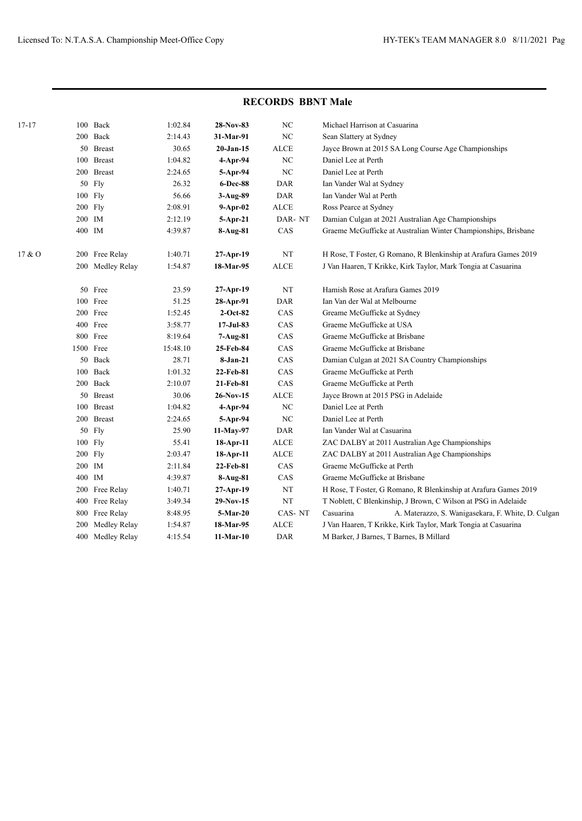| $17 - 17$ | 100    | Back             | 1:02.84  | 28-Nov-83      | $_{\mathrm{NC}}$ | Michael Harrison at Casuarina                                   |
|-----------|--------|------------------|----------|----------------|------------------|-----------------------------------------------------------------|
|           |        | 200 Back         | 2:14.43  | 31-Mar-91      | $_{\mathrm{NC}}$ | Sean Slattery at Sydney                                         |
|           |        | 50 Breast        | 30.65    | $20-Jan-15$    | <b>ALCE</b>      | Jayce Brown at 2015 SA Long Course Age Championships            |
|           | 100    | <b>Breast</b>    | 1:04.82  | 4-Apr-94       | $_{\mathrm{NC}}$ | Daniel Lee at Perth                                             |
|           | 200    | <b>Breast</b>    | 2:24.65  | 5-Apr-94       | $_{\mathrm{NC}}$ | Daniel Lee at Perth                                             |
|           | 50     | Fly              | 26.32    | 6-Dec-88       | <b>DAR</b>       | Ian Vander Wal at Sydney                                        |
|           |        | 100 Fly          | 56.66    | $3-Aug-89$     | <b>DAR</b>       | Ian Vander Wal at Perth                                         |
|           |        | 200 Fly          | 2:08.91  | $9 - Apr - 02$ | <b>ALCE</b>      | Ross Pearce at Sydney                                           |
|           |        | 200 IM           | 2:12.19  | 5-Apr-21       | DAR-NT           | Damian Culgan at 2021 Australian Age Championships              |
|           |        | 400 IM           | 4:39.87  | 8-Aug-81       | CAS              | Graeme McGufficke at Australian Winter Championships, Brisbane  |
| 17 & O    |        | 200 Free Relay   | 1:40.71  | $27-Apr-19$    | $_{\rm NT}$      | H Rose, T Foster, G Romano, R Blenkinship at Arafura Games 2019 |
|           |        | 200 Medley Relay | 1:54.87  | 18-Mar-95      | <b>ALCE</b>      | J Van Haaren, T Krikke, Kirk Taylor, Mark Tongia at Casuarina   |
|           |        | 50 Free          | 23.59    | $27-Apr-19$    | $\rm{NT}$        | Hamish Rose at Arafura Games 2019                               |
|           |        | 100 Free         | 51.25    | 28-Apr-91      | <b>DAR</b>       | Ian Van der Wal at Melbourne                                    |
|           |        | 200 Free         | 1:52.45  | $2-Oct-82$     | CAS              | Greame McGufficke at Sydney                                     |
|           |        | 400 Free         | 3:58.77  | $17-Jul-83$    | CAS              | Graeme McGufficke at USA                                        |
|           |        | 800 Free         | 8:19.64  | 7-Aug-81       | CAS              | Graeme McGufficke at Brisbane                                   |
|           |        | 1500 Free        | 15:48.10 | 25-Feb-84      | CAS              | Graeme McGufficke at Brisbane                                   |
|           |        | 50 Back          | 28.71    | 8-Jan-21       | CAS              | Damian Culgan at 2021 SA Country Championships                  |
|           |        | 100 Back         | 1:01.32  | 22-Feb-81      | CAS              | Graeme McGufficke at Perth                                      |
|           |        | 200 Back         | 2:10.07  | 21-Feb-81      | CAS              | Graeme McGufficke at Perth                                      |
|           | 50     | <b>Breast</b>    | 30.06    | 26-Nov-15      | <b>ALCE</b>      | Jayce Brown at 2015 PSG in Adelaide                             |
|           | 100    | <b>Breast</b>    | 1:04.82  | $4$ -Apr-94    | $_{\mathrm{NC}}$ | Daniel Lee at Perth                                             |
|           | 200    | <b>Breast</b>    | 2:24.65  | 5-Apr-94       | ${\rm NC}$       | Daniel Lee at Perth                                             |
|           | 50     | Fly              | 25.90    | 11-May-97      | <b>DAR</b>       | Ian Vander Wal at Casuarina                                     |
|           |        | 100 Fly          | 55.41    | 18-Apr-11      | <b>ALCE</b>      | ZAC DALBY at 2011 Australian Age Championships                  |
|           |        | 200 Fly          | 2:03.47  | 18-Apr-11      | ALCE             | ZAC DALBY at 2011 Australian Age Championships                  |
|           | 200 IM |                  | 2:11.84  | 22-Feb-81      | CAS              | Graeme McGufficke at Perth                                      |
|           |        | 400 IM           | 4:39.87  | $8-Aug-81$     | CAS              | Graeme McGufficke at Brisbane                                   |
|           | 200    | Free Relay       | 1:40.71  | 27-Apr-19      | NT               | H Rose, T Foster, G Romano, R Blenkinship at Arafura Games 2019 |
|           | 400    | Free Relay       | 3:49.34  | $29-Nov-15$    | NT               | T Noblett, C Blenkinship, J Brown, C Wilson at PSG in Adelaide  |
|           | 800    | Free Relay       | 8:48.95  | 5-Mar-20       | CAS-NT           | Casuarina<br>A. Materazzo, S. Wanigasekara, F. White, D. Culgan |
|           | 200    | Medley Relay     | 1:54.87  | 18-Mar-95      | <b>ALCE</b>      | J Van Haaren, T Krikke, Kirk Taylor, Mark Tongia at Casuarina   |
|           |        | 400 Medley Relay | 4:15.54  | $11-Mar-10$    | <b>DAR</b>       | M Barker, J Barnes, T Barnes, B Millard                         |
|           |        |                  |          |                |                  |                                                                 |